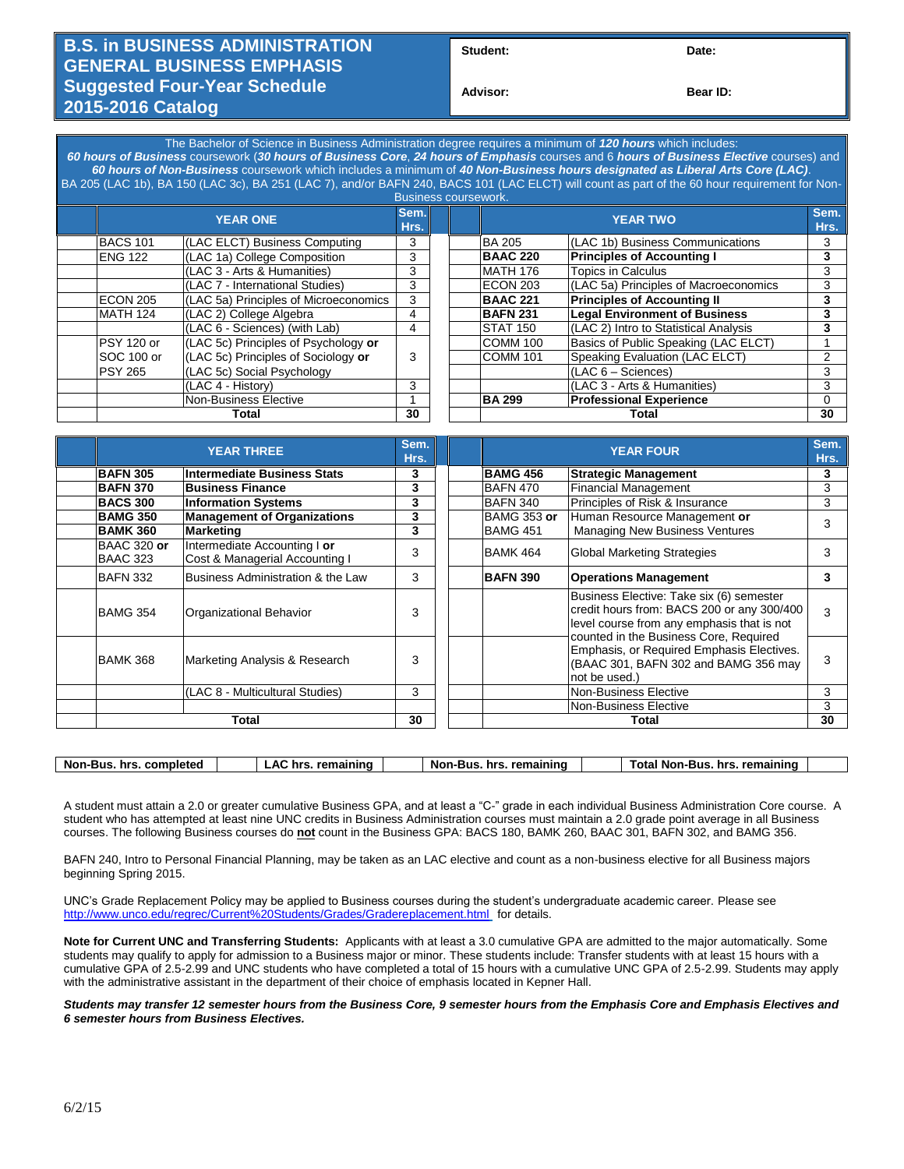## **B.S. in BUSINESS ADMINISTRATION GENERAL BUSINESS EMPHASIS Suggested Four-Year Schedule 2015-2016 Catalog**

Student: Date:

**Advisor: Bear ID:** 

The Bachelor of Science in Business Administration degree requires a minimum of *120 hours* which includes: *60 hours of Business* coursework (*30 hours of Business Core*, *24 hours of Emphasis* courses and 6 *hours of Business Elective* courses) and *60 hours of Non-Business* coursework which includes a minimum of *40 Non-Business hours designated as Liberal Arts Core (LAC)*. BA 205 (LAC 1b), BA 150 (LAC 3c), BA 251 (LAC 7), and/or BAFN 240, BACS 101 (LAC ELCT) will count as part of the 60 hour requirement for Non-

| <b>Business coursework.</b> |                 |                                                                                                                                                                                                                                        |    |  |                 |                                       |              |
|-----------------------------|-----------------|----------------------------------------------------------------------------------------------------------------------------------------------------------------------------------------------------------------------------------------|----|--|-----------------|---------------------------------------|--------------|
|                             |                 | Sem.<br><b>YEAR ONE</b><br>Hrs.<br>(LAC ELCT) Business Computing<br>(LAC 1a) College Composition<br>(LAC 3 - Arts & Humanities)<br>(LAC 7 - International Studies)<br>(LAC 5a) Principles of Microeconomics<br>(LAC 2) College Algebra |    |  | <b>YEAR TWO</b> |                                       | Sem.<br>Hrs. |
|                             | <b>BACS 101</b> |                                                                                                                                                                                                                                        | 3  |  | <b>BA 205</b>   | (LAC 1b) Business Communications      | 3            |
|                             | <b>ENG 122</b>  |                                                                                                                                                                                                                                        | 3  |  | <b>BAAC 220</b> | <b>Principles of Accounting I</b>     | 3            |
|                             |                 |                                                                                                                                                                                                                                        | 3  |  | <b>MATH 176</b> | <b>Topics in Calculus</b>             | 3            |
|                             |                 |                                                                                                                                                                                                                                        | 3  |  | <b>ECON 203</b> | (LAC 5a) Principles of Macroeconomics | 3            |
|                             | ECON 205        |                                                                                                                                                                                                                                        | 3  |  | <b>BAAC 221</b> | <b>Principles of Accounting II</b>    | 3            |
|                             | MATH 124        |                                                                                                                                                                                                                                        | 4  |  | <b>BAFN 231</b> | <b>Legal Environment of Business</b>  |              |
|                             |                 | (LAC 6 - Sciences) (with Lab)                                                                                                                                                                                                          | 4  |  | <b>STAT 150</b> | (LAC 2) Intro to Statistical Analysis |              |
|                             | PSY 120 or      | (LAC 5c) Principles of Psychology or                                                                                                                                                                                                   |    |  | COMM 100        | Basics of Public Speaking (LAC ELCT)  |              |
|                             | SOC 100 or      | (LAC 5c) Principles of Sociology or                                                                                                                                                                                                    | 3  |  | COMM 101        | Speaking Evaluation (LAC ELCT)        | 2            |
|                             | <b>PSY 265</b>  | (LAC 5c) Social Psychology                                                                                                                                                                                                             |    |  |                 | $(LAC 6 - Sciences)$                  | 3            |
|                             |                 | (LAC 4 - History)                                                                                                                                                                                                                      | 3  |  |                 | (LAC 3 - Arts & Humanities)           | 3            |
|                             |                 | Non-Business Elective                                                                                                                                                                                                                  |    |  | <b>BA 299</b>   | <b>Professional Experience</b>        | $\Omega$     |
|                             | Total           |                                                                                                                                                                                                                                        | 30 |  | Total           |                                       | 30           |

| <b>YEAR THREE</b>              |                                                                | Sem.<br>Hrs. | <b>YEAR FOUR</b>   |                                                                                                                                              | Sem.<br>Hrs. |
|--------------------------------|----------------------------------------------------------------|--------------|--------------------|----------------------------------------------------------------------------------------------------------------------------------------------|--------------|
| <b>BAFN 305</b>                | <b>Intermediate Business Stats</b>                             | 3            | <b>BAMG 456</b>    | <b>Strategic Management</b>                                                                                                                  | 3            |
| <b>BAFN 370</b>                | <b>Business Finance</b>                                        | 3            | <b>BAFN 470</b>    | <b>Financial Management</b>                                                                                                                  | 3            |
| <b>BACS 300</b>                | <b>Information Systems</b>                                     | 3            | <b>BAFN 340</b>    | Principles of Risk & Insurance                                                                                                               | 3            |
| <b>BAMG 350</b>                | <b>Management of Organizations</b>                             | 3            | <b>BAMG 353 or</b> | Human Resource Management or                                                                                                                 | 3            |
| <b>BAMK 360</b>                | <b>Marketing</b>                                               | 3            | <b>BAMG 451</b>    | <b>Managing New Business Ventures</b>                                                                                                        |              |
| <b>BAAC 320 or</b><br>BAAC 323 | Intermediate Accounting I or<br>Cost & Managerial Accounting I | 3            | BAMK 464           | <b>Global Marketing Strategies</b>                                                                                                           | 3            |
| IBAFN 332                      | Business Administration & the Law                              | 3            | <b>BAFN 390</b>    | <b>Operations Management</b>                                                                                                                 | 3            |
| BAMG 354                       | Organizational Behavior                                        | 3            |                    | Business Elective: Take six (6) semester<br>credit hours from: BACS 200 or any 300/400<br>level course from any emphasis that is not         | 3            |
| <b>BAMK 368</b>                | Marketing Analysis & Research                                  | 3            |                    | counted in the Business Core, Required<br>Emphasis, or Required Emphasis Electives.<br>(BAAC 301, BAFN 302 and BAMG 356 may<br>not be used.) | 3            |
|                                | (LAC 8 - Multicultural Studies)                                | 3            |                    | Non-Business Elective                                                                                                                        | 3            |
|                                |                                                                |              |                    | Non-Business Elective                                                                                                                        | 3            |
| Total                          |                                                                | 30           |                    | Total                                                                                                                                        | 30           |

A student must attain a 2.0 or greater cumulative Business GPA, and at least a "C-" grade in each individual Business Administration Core course. A student who has attempted at least nine UNC credits in Business Administration courses must maintain a 2.0 grade point average in all Business courses. The following Business courses do **not** count in the Business GPA: BACS 180, BAMK 260, BAAC 301, BAFN 302, and BAMG 356.

BAFN 240, Intro to Personal Financial Planning, may be taken as an LAC elective and count as a non-business elective for all Business majors beginning Spring 2015.

UNC's Grade Replacement Policy may be applied to Business courses during the student's undergraduate academic career. Please see <http://www.unco.edu/regrec/Current%20Students/Grades/Gradereplacement.html> for details.

**Note for Current UNC and Transferring Students:** Applicants with at least a 3.0 cumulative GPA are admitted to the major automatically. Some students may qualify to apply for admission to a Business major or minor. These students include: Transfer students with at least 15 hours with a cumulative GPA of 2.5-2.99 and UNC students who have completed a total of 15 hours with a cumulative UNC GPA of 2.5-2.99. Students may apply with the administrative assistant in the department of their choice of emphasis located in Kepner Hall.

*Students may transfer 12 semester hours from the Business Core, 9 semester hours from the Emphasis Core and Emphasis Electives and 6 semester hours from Business Electives.*